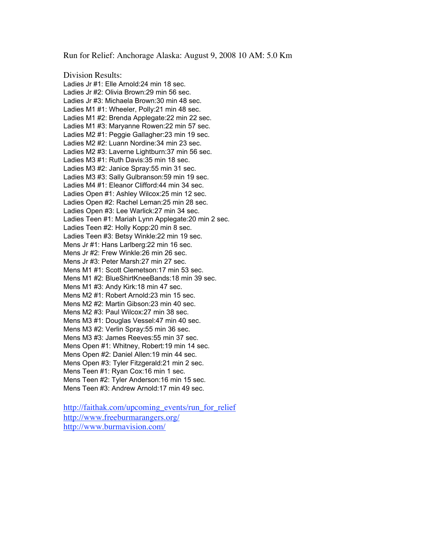Run for Relief: Anchorage Alaska: August 9, 2008 10 AM: 5.0 Km

## Division Results:

Ladies Jr #1: Elle Arnold:24 min 18 sec. Ladies Jr #2: Olivia Brown:29 min 56 sec. Ladies Jr #3: Michaela Brown:30 min 48 sec. Ladies M1 #1: Wheeler, Polly:21 min 48 sec. Ladies M1 #2: Brenda Applegate:22 min 22 sec. Ladies M1 #3: Maryanne Rowen:22 min 57 sec. Ladies M2 #1: Peggie Gallagher:23 min 19 sec. Ladies M2 #2: Luann Nordine:34 min 23 sec. Ladies M2 #3: Laverne Lightburn:37 min 56 sec. Ladies M3 #1: Ruth Davis:35 min 18 sec. Ladies M3 #2: Janice Spray:55 min 31 sec. Ladies M3 #3: Sally Gulbranson:59 min 19 sec. Ladies M4 #1: Eleanor Clifford:44 min 34 sec. Ladies Open #1: Ashley Wilcox:25 min 12 sec. Ladies Open #2: Rachel Leman:25 min 28 sec. Ladies Open #3: Lee Warlick:27 min 34 sec. Ladies Teen #1: Mariah Lynn Applegate:20 min 2 sec. Ladies Teen #2: Holly Kopp:20 min 8 sec. Ladies Teen #3: Betsy Winkle:22 min 19 sec. Mens Jr #1: Hans Larlberg:22 min 16 sec. Mens Jr #2: Frew Winkle:26 min 26 sec. Mens Jr #3: Peter Marsh:27 min 27 sec. Mens M1 #1: Scott Clemetson:17 min 53 sec. Mens M1 #2: BlueShirtKneeBands:18 min 39 sec. Mens M1 #3: Andy Kirk:18 min 47 sec. Mens M2 #1: Robert Arnold:23 min 15 sec. Mens M2 #2: Martin Gibson:23 min 40 sec. Mens M2 #3: Paul Wilcox:27 min 38 sec. Mens M3 #1: Douglas Vessel:47 min 40 sec. Mens M3 #2: Verlin Spray:55 min 36 sec. Mens M3 #3: James Reeves:55 min 37 sec. Mens Open #1: Whitney, Robert:19 min 14 sec. Mens Open #2: Daniel Allen:19 min 44 sec. Mens Open #3: Tyler Fitzgerald:21 min 2 sec. Mens Teen #1: Ryan Cox:16 min 1 sec. Mens Teen #2: Tyler Anderson:16 min 15 sec. Mens Teen #3: Andrew Arnold:17 min 49 sec.

http://faithak.com/upcoming\_events/run\_for\_relief http://www.freeburmarangers.org/ http://www.burmavision.com/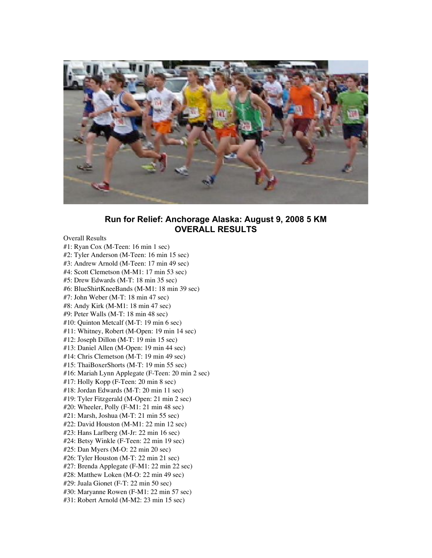

## **Run for Relief: Anchorage Alaska: August 9, 2008 5 KM OVERALL RESULTS**

## Overall Results

#1: Ryan Cox (M-Teen: 16 min 1 sec) #2: Tyler Anderson (M-Teen: 16 min 15 sec) #3: Andrew Arnold (M-Teen: 17 min 49 sec) #4: Scott Clemetson (M-M1: 17 min 53 sec) #5: Drew Edwards (M-T: 18 min 35 sec) #6: BlueShirtKneeBands (M-M1: 18 min 39 sec) #7: John Weber (M-T: 18 min 47 sec) #8: Andy Kirk (M-M1: 18 min 47 sec) #9: Peter Walls (M-T: 18 min 48 sec) #10: Quinton Metcalf (M-T: 19 min 6 sec) #11: Whitney, Robert (M-Open: 19 min 14 sec) #12: Joseph Dillon (M-T: 19 min 15 sec) #13: Daniel Allen (M-Open: 19 min 44 sec) #14: Chris Clemetson (M-T: 19 min 49 sec) #15: ThaiBoxerShorts (M-T: 19 min 55 sec) #16: Mariah Lynn Applegate (F-Teen: 20 min 2 sec) #17: Holly Kopp (F-Teen: 20 min 8 sec) #18: Jordan Edwards (M-T: 20 min 11 sec) #19: Tyler Fitzgerald (M-Open: 21 min 2 sec) #20: Wheeler, Polly (F-M1: 21 min 48 sec) #21: Marsh, Joshua (M-T: 21 min 55 sec) #22: David Houston (M-M1: 22 min 12 sec) #23: Hans Larlberg (M-Jr: 22 min 16 sec) #24: Betsy Winkle (F-Teen: 22 min 19 sec) #25: Dan Myers (M-O: 22 min 20 sec) #26: Tyler Houston (M-T: 22 min 21 sec) #27: Brenda Applegate (F-M1: 22 min 22 sec) #28: Matthew Loken (M-O: 22 min 49 sec) #29: Juala Gionet (F-T: 22 min 50 sec) #30: Maryanne Rowen (F-M1: 22 min 57 sec) #31: Robert Arnold (M-M2: 23 min 15 sec)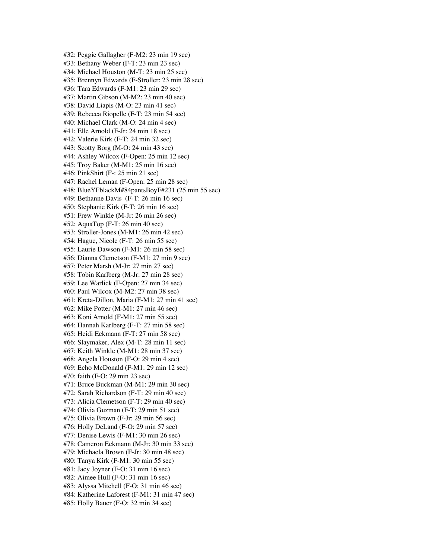#32: Peggie Gallagher (F-M2: 23 min 19 sec) #33: Bethany Weber (F-T: 23 min 23 sec) #34: Michael Houston (M-T: 23 min 25 sec) #35: Brennyn Edwards (F-Stroller: 23 min 28 sec) #36: Tara Edwards (F-M1: 23 min 29 sec) #37: Martin Gibson (M-M2: 23 min 40 sec) #38: David Liapis (M-O: 23 min 41 sec) #39: Rebecca Riopelle (F-T: 23 min 54 sec) #40: Michael Clark (M-O: 24 min 4 sec) #41: Elle Arnold (F-Jr: 24 min 18 sec) #42: Valerie Kirk (F-T: 24 min 32 sec) #43: Scotty Borg (M-O: 24 min 43 sec) #44: Ashley Wilcox (F-Open: 25 min 12 sec) #45: Troy Baker (M-M1: 25 min 16 sec) #46: PinkShirt (F-: 25 min 21 sec) #47: Rachel Leman (F-Open: 25 min 28 sec) #48: BlueYFblackM#84pantsBoyF#231 (25 min 55 sec) #49: Bethanne Davis (F-T: 26 min 16 sec) #50: Stephanie Kirk (F-T: 26 min 16 sec) #51: Frew Winkle (M-Jr: 26 min 26 sec) #52: AquaTop (F-T: 26 min 40 sec) #53: Stroller-Jones (M-M1: 26 min 42 sec) #54: Hague, Nicole (F-T: 26 min 55 sec) #55: Laurie Dawson (F-M1: 26 min 58 sec) #56: Dianna Clemetson (F-M1: 27 min 9 sec) #57: Peter Marsh (M-Jr: 27 min 27 sec) #58: Tobin Karlberg (M-Jr: 27 min 28 sec) #59: Lee Warlick (F-Open: 27 min 34 sec) #60: Paul Wilcox (M-M2: 27 min 38 sec) #61: Kreta-Dillon, Maria (F-M1: 27 min 41 sec) #62: Mike Potter (M-M1: 27 min 46 sec) #63: Koni Arnold (F-M1: 27 min 55 sec) #64: Hannah Karlberg (F-T: 27 min 58 sec) #65: Heidi Eckmann (F-T: 27 min 58 sec) #66: Slaymaker, Alex (M-T: 28 min 11 sec) #67: Keith Winkle (M-M1: 28 min 37 sec) #68: Angela Houston (F-O: 29 min 4 sec) #69: Echo McDonald (F-M1: 29 min 12 sec) #70: faith (F-O: 29 min 23 sec) #71: Bruce Buckman (M-M1: 29 min 30 sec) #72: Sarah Richardson (F-T: 29 min 40 sec) #73: Alicia Clemetson (F-T: 29 min 40 sec) #74: Olivia Guzman (F-T: 29 min 51 sec) #75: Olivia Brown (F-Jr: 29 min 56 sec) #76: Holly DeLand (F-O: 29 min 57 sec) #77: Denise Lewis (F-M1: 30 min 26 sec) #78: Cameron Eckmann (M-Jr: 30 min 33 sec) #79: Michaela Brown (F-Jr: 30 min 48 sec) #80: Tanya Kirk (F-M1: 30 min 55 sec) #81: Jacy Joyner (F-O: 31 min 16 sec) #82: Aimee Hull (F-O: 31 min 16 sec) #83: Alyssa Mitchell (F-O: 31 min 46 sec) #84: Katherine Laforest (F-M1: 31 min 47 sec) #85: Holly Bauer (F-O: 32 min 34 sec)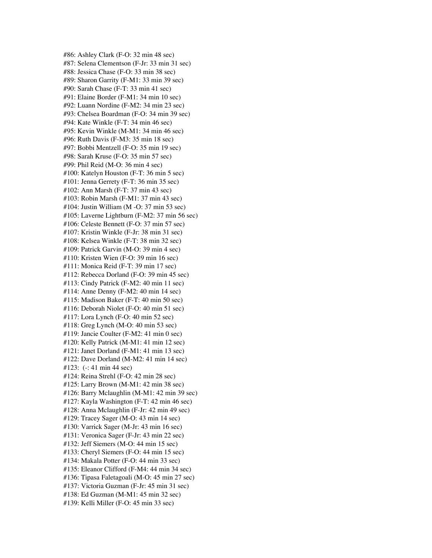#86: Ashley Clark (F-O: 32 min 48 sec) #87: Selena Clementson (F-Jr: 33 min 31 sec) #88: Jessica Chase (F-O: 33 min 38 sec) #89: Sharon Garrity (F-M1: 33 min 39 sec) #90: Sarah Chase (F-T: 33 min 41 sec) #91: Elaine Border (F-M1: 34 min 10 sec) #92: Luann Nordine (F-M2: 34 min 23 sec) #93: Chelsea Boardman (F-O: 34 min 39 sec) #94: Kate Winkle (F-T: 34 min 46 sec) #95: Kevin Winkle (M-M1: 34 min 46 sec) #96: Ruth Davis (F-M3: 35 min 18 sec) #97: Bobbi Mentzell (F-O: 35 min 19 sec) #98: Sarah Kruse (F-O: 35 min 57 sec) #99: Phil Reid (M-O: 36 min 4 sec) #100: Katelyn Houston (F-T: 36 min 5 sec) #101: Jenna Gerrety (F-T: 36 min 35 sec) #102: Ann Marsh (F-T: 37 min 43 sec) #103: Robin Marsh (F-M1: 37 min 43 sec) #104: Justin William (M -O: 37 min 53 sec) #105: Laverne Lightburn (F-M2: 37 min 56 sec) #106: Celeste Bennett (F-O: 37 min 57 sec) #107: Kristin Winkle (F-Jr: 38 min 31 sec) #108: Kelsea Winkle (F-T: 38 min 32 sec) #109: Patrick Garvin (M-O: 39 min 4 sec) #110: Kristen Wien (F-O: 39 min 16 sec) #111: Monica Reid (F-T: 39 min 17 sec) #112: Rebecca Dorland (F-O: 39 min 45 sec) #113: Cindy Patrick (F-M2: 40 min 11 sec) #114: Anne Denny (F-M2: 40 min 14 sec) #115: Madison Baker (F-T: 40 min 50 sec) #116: Deborah Niolet (F-O: 40 min 51 sec) #117: Lora Lynch (F-O: 40 min 52 sec) #118: Greg Lynch (M-O: 40 min 53 sec) #119: Jancie Coulter (F-M2: 41 min 0 sec) #120: Kelly Patrick (M-M1: 41 min 12 sec) #121: Janet Dorland (F-M1: 41 min 13 sec) #122: Dave Dorland (M-M2: 41 min 14 sec) #123: (-: 41 min 44 sec) #124: Reina Strehl (F-O: 42 min 28 sec) #125: Larry Brown (M-M1: 42 min 38 sec) #126: Barry Mclaughlin (M-M1: 42 min 39 sec) #127: Kayla Washington (F-T: 42 min 46 sec) #128: Anna Mclaughlin (F-Jr: 42 min 49 sec) #129: Tracey Sager (M-O: 43 min 14 sec) #130: Varrick Sager (M-Jr: 43 min 16 sec) #131: Veronica Sager (F-Jr: 43 min 22 sec) #132: Jeff Siemers (M-O: 44 min 15 sec) #133: Cheryl Siemers (F-O: 44 min 15 sec) #134: Makala Potter (F-O: 44 min 33 sec) #135: Eleanor Clifford (F-M4: 44 min 34 sec) #136: Tipasa Faletagoali (M-O: 45 min 27 sec) #137: Victoria Guzman (F-Jr: 45 min 31 sec) #138: Ed Guzman (M-M1: 45 min 32 sec) #139: Kelli Miller (F-O: 45 min 33 sec)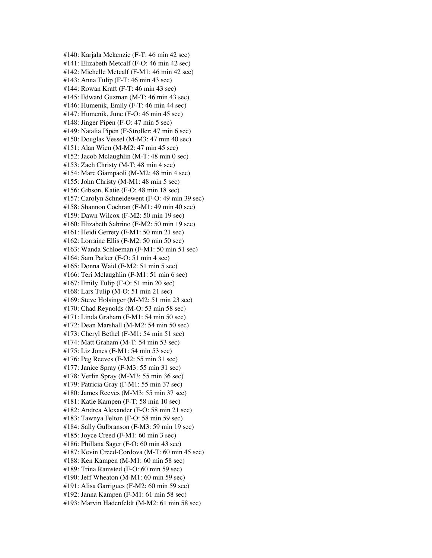#140: Karjala Mckenzie (F-T: 46 min 42 sec) #141: Elizabeth Metcalf (F-O: 46 min 42 sec) #142: Michelle Metcalf (F-M1: 46 min 42 sec) #143: Anna Tulip (F-T: 46 min 43 sec) #144: Rowan Kraft (F-T: 46 min 43 sec) #145: Edward Guzman (M-T: 46 min 43 sec) #146: Humenik, Emily (F-T: 46 min 44 sec) #147: Humenik, June (F-O: 46 min 45 sec) #148: Jinger Pipen (F-O: 47 min 5 sec) #149: Natalia Pipen (F-Stroller: 47 min 6 sec) #150: Douglas Vessel (M-M3: 47 min 40 sec) #151: Alan Wien (M-M2: 47 min 45 sec) #152: Jacob Mclaughlin (M-T: 48 min 0 sec) #153: Zach Christy (M-T: 48 min 4 sec) #154: Marc Giampaoli (M-M2: 48 min 4 sec) #155: John Christy (M-M1: 48 min 5 sec) #156: Gibson, Katie (F-O: 48 min 18 sec) #157: Carolyn Schneidewent (F-O: 49 min 39 sec) #158: Shannon Cochran (F-M1: 49 min 40 sec) #159: Dawn Wilcox (F-M2: 50 min 19 sec) #160: Elizabeth Sabrino (F-M2: 50 min 19 sec) #161: Heidi Gerrety (F-M1: 50 min 21 sec) #162: Lorraine Ellis (F-M2: 50 min 50 sec) #163: Wanda Schloeman (F-M1: 50 min 51 sec) #164: Sam Parker (F-O: 51 min 4 sec) #165: Donna Waid (F-M2: 51 min 5 sec) #166: Teri Mclaughlin (F-M1: 51 min 6 sec) #167: Emily Tulip (F-O: 51 min 20 sec) #168: Lars Tulip (M-O: 51 min 21 sec) #169: Steve Holsinger (M-M2: 51 min 23 sec) #170: Chad Reynolds (M-O: 53 min 58 sec) #171: Linda Graham (F-M1: 54 min 50 sec) #172: Dean Marshall (M-M2: 54 min 50 sec) #173: Cheryl Bethel (F-M1: 54 min 51 sec) #174: Matt Graham (M-T: 54 min 53 sec) #175: Liz Jones (F-M1: 54 min 53 sec) #176: Peg Reeves (F-M2: 55 min 31 sec) #177: Janice Spray (F-M3: 55 min 31 sec) #178: Verlin Spray (M-M3: 55 min 36 sec) #179: Patricia Gray (F-M1: 55 min 37 sec) #180: James Reeves (M-M3: 55 min 37 sec) #181: Katie Kampen (F-T: 58 min 10 sec) #182: Andrea Alexander (F-O: 58 min 21 sec) #183: Tawnya Felton (F-O: 58 min 59 sec) #184: Sally Gulbranson (F-M3: 59 min 19 sec) #185: Joyce Creed (F-M1: 60 min 3 sec) #186: Phillana Sager (F-O: 60 min 43 sec) #187: Kevin Creed-Cordova (M-T: 60 min 45 sec) #188: Ken Kampen (M-M1: 60 min 58 sec) #189: Trina Ramsted (F-O: 60 min 59 sec) #190: Jeff Wheaton (M-M1: 60 min 59 sec) #191: Alisa Garrigues (F-M2: 60 min 59 sec) #192: Janna Kampen (F-M1: 61 min 58 sec) #193: Marvin Hadenfeldt (M-M2: 61 min 58 sec)